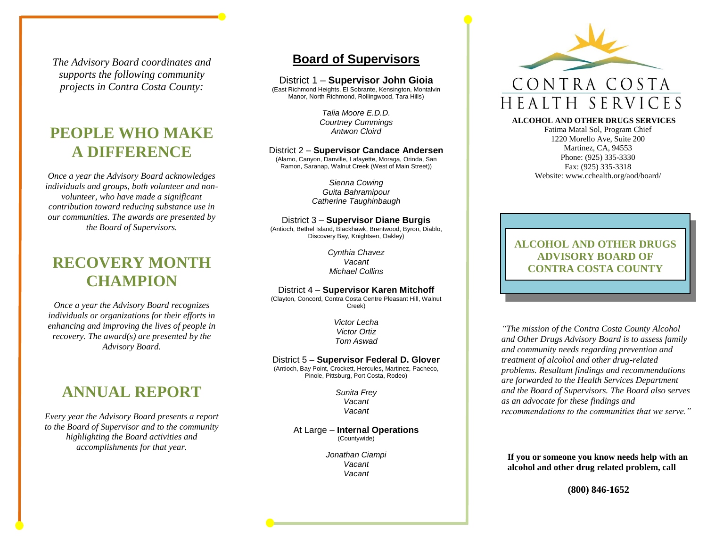*The Advisory Board coordinates and supports the following community projects in Contra Costa County:*

### **PEOPLE WHO MAKE A DIFFERENCE**

*Once a year the Advisory Board acknowledges individuals and groups, both volunteer and nonvolunteer, who have made a significant contribution toward reducing substance use in our communities. The awards are presented by the Board of Supervisors.* 

### **RECOVERY MONTH CHAMPION**

*Once a year the Advisory Board recognizes individuals or organizations for their efforts in enhancing and improving the lives of people in recovery. The award(s) are presented by the Advisory Board.* 

### **ANNUAL REPORT**

*Every year the Advisory Board presents a report to the Board of Supervisor and to the community highlighting the Board activities and accomplishments for that year.*

### **Board of Supervisors**

District 1 – **Supervisor John Gioia**

(East Richmond Heights, El Sobrante, Kensington, Montalvin Manor, North Richmond, Rollingwood, Tara Hills)

> *Talia Moore E.D.D. Courtney Cummings Antwon Cloird*

### District 2 – **Supervisor Candace Andersen**

(Alamo, Canyon, Danville, Lafayette, Moraga, Orinda, San Ramon, Saranap, Walnut Creek (West of Main Street))

> *Sienna Cowing Guita Bahramipour Catherine Taughinbaugh*

District 3 – **Supervisor Diane Burgis** (Antioch, Bethel Island, Blackhawk, Brentwood, Byron, Diablo, Discovery Bay, Knightsen, Oakley)

> *Cynthia Chavez Vacant Michael Collins*

#### District 4 – **Supervisor Karen Mitchoff**

(Clayton, Concord, Contra Costa Centre Pleasant Hill, Walnut Creek)

> *Victor Lecha Victor Ortiz Tom Aswad*

#### District 5 – **Supervisor Federal D. Glover**

(Antioch, Bay Point, Crockett, Hercules, Martinez, Pacheco, Pinole, Pittsburg, Port Costa, Rodeo)

> *Sunita Frey Vacant Vacant*

At Large – **Internal Operations** (Countywide)

> *Jonathan Ciampi Vacant Vacant*



#### **ALCOHOL AND OTHER DRUGS SERVICES**

Fatima Matal Sol, Program Chief 1220 Morello Ave, Suite 200 Martinez, CA, 94553 Phone: (925) 335-3330 Fax: (925) 335-3318 Website: www.cchealth.org/aod/board/

**ALCOHOL AND OTHER DRUGS ADVISORY BOARD OF CONTRA COSTA COUNTY**

*"The mission of the Contra Costa County Alcohol and Other Drugs Advisory Board is to assess family and community needs regarding prevention and treatment of alcohol and other drug-related problems. Resultant findings and recommendations are forwarded to the Health Services Department and the Board of Supervisors. The Board also serves as an advocate for these findings and recommendations to the communities that we serve."*

**If you or someone you know needs help with an alcohol and other drug related problem, call**

**(800) 846-1652**